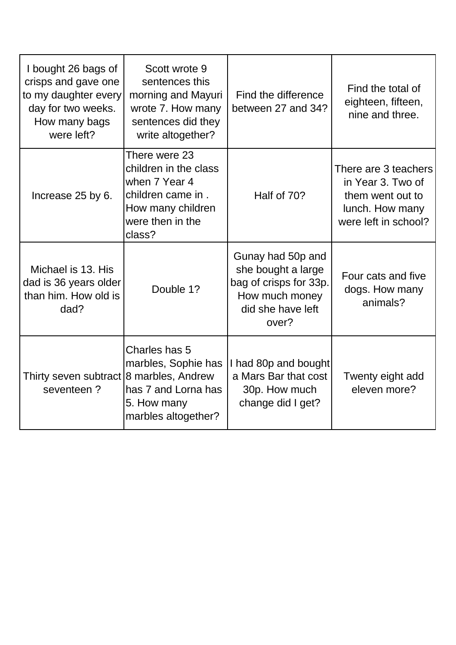| I bought 26 bags of<br>crisps and gave one<br>to my daughter every<br>day for two weeks.<br>How many bags<br>were left? | Scott wrote 9<br>sentences this<br>morning and Mayuri<br>wrote 7. How many<br>sentences did they<br>write altogether?           | Find the difference<br>between 27 and 34?                                                                         | Find the total of<br>eighteen, fifteen,<br>nine and three.                                               |
|-------------------------------------------------------------------------------------------------------------------------|---------------------------------------------------------------------------------------------------------------------------------|-------------------------------------------------------------------------------------------------------------------|----------------------------------------------------------------------------------------------------------|
| Increase 25 by 6.                                                                                                       | There were 23<br>children in the class<br>when 7 Year 4<br>children came in.<br>How many children<br>were then in the<br>class? | Half of 70?                                                                                                       | There are 3 teachers<br>in Year 3. Two of<br>them went out to<br>lunch. How many<br>were left in school? |
| Michael is 13. His<br>dad is 36 years older<br>than him. How old is<br>dad?                                             | Double 1?                                                                                                                       | Gunay had 50p and<br>she bought a large<br>bag of crisps for 33p.<br>How much money<br>did she have left<br>over? | Four cats and five<br>dogs. How many<br>animals?                                                         |
| Thirty seven subtract 8 marbles, Andrew<br>seventeen?                                                                   | Charles has 5<br>marbles, Sophie has<br>has 7 and Lorna has<br>5. How many<br>marbles altogether?                               | I had 80p and bought<br>a Mars Bar that cost<br>30p. How much<br>change did I get?                                | Twenty eight add<br>eleven more?                                                                         |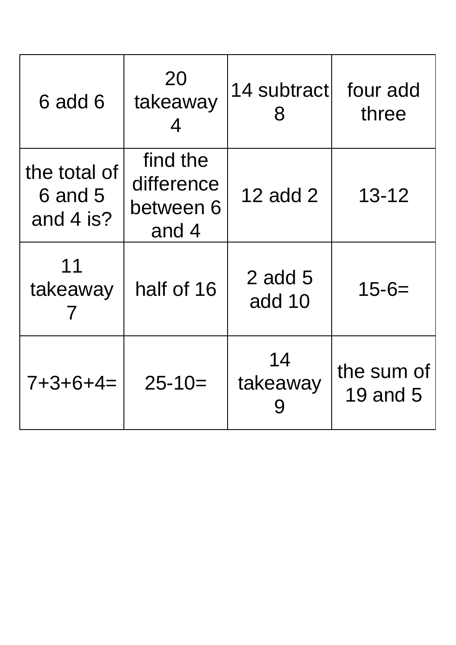| 6 add 6                                | 20<br>takeaway<br>4                          | 14 subtract<br>8      | four add<br>three      |
|----------------------------------------|----------------------------------------------|-----------------------|------------------------|
| the total of<br>6 and 5<br>and $4$ is? | find the<br>difference<br>between 6<br>and 4 | 12 add 2              | $13 - 12$              |
| 11<br>takeaway                         | half of 16                                   | $2$ add $5$<br>add 10 | $15 - 6 =$             |
| $7 + 3 + 6 + 4 =$                      | $25 - 10 =$                                  | 14<br>takeaway        | the sum of<br>19 and 5 |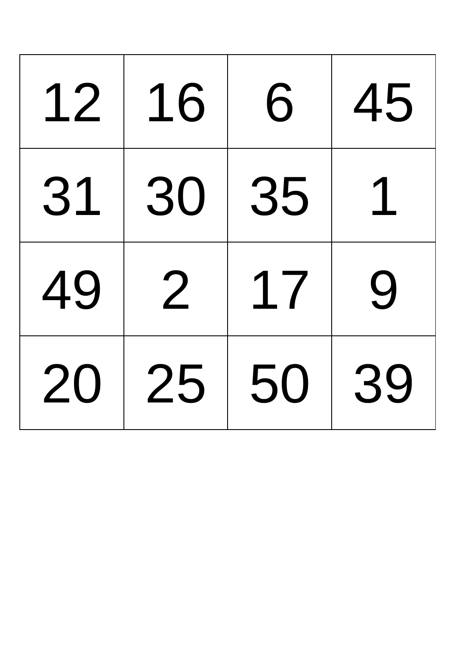| 12 | 16 | 6  | 45 |
|----|----|----|----|
| 31 | 30 | 35 |    |
| 49 | 2  | 17 | 9  |
| 20 | 25 | 50 | 39 |